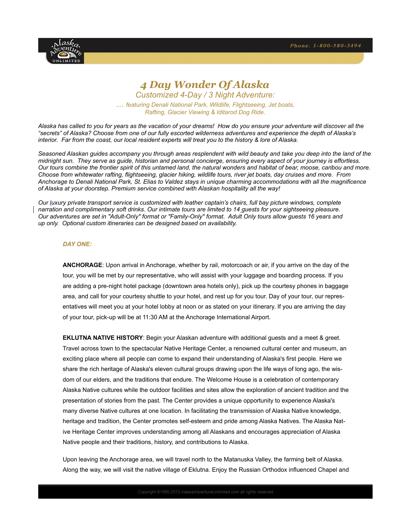

# *4 Day Wonder Of Alaska*

*Customized 4-Day / 3 Night Adventure: … featuring Denali National Park, Wildlife, Flightseeing, Jet boats, Rafting, Glacier Viewing & Iditarod Dog Ride.*

*Alaska has called to you for years as the vacation of your dreams! How do you ensure your adventure will discover all the "secrets" of Alaska? Choose from one of our fully escorted wilderness adventures and experience the depth of Alaska's interior. Far from the coast, our local resident experts will treat you to the history & lore of Alaska.* 

*Seasoned Alaskan guides accompany you through areas resplendent with wild beauty and take you deep into the land of the midnight sun. They serve as guide, historian and personal concierge, ensuring every aspect of your journey is effortless. Our tours combine the frontier spirit of this untamed land, the natural wonders and habitat of bear, moose, caribou and more. Choose from whitewater rafting, flightseeing, glacier hiking, wildlife tours, river jet boats, day cruises and more. From Anchorage to Denali National Park, St. Elias to Valdez stays in unique charming accommodations with all the magnificence of Alaska at your doorstep. Premium service combined with Alaskan hospitality all the way!*

*Our [luxury private transport service](http://www.1anchorsaway.com/alaska/TransportService.htm) is customized with leather captain's chairs, full bay picture windows, complete narration and complimentary soft drinks. Our intimate tours are limited to 14 guests for your sightseeing pleasure. Our adventures are set in "Adult-Only" format or "Family-Only" format. Adult Only tours allow guests 16 years and up only. Optional custom itineraries can be designed based on availability.*

### *DAY ONE:*

**ANCHORAGE**: Upon arrival in Anchorage, whether by rail, motorcoach or air, if you arrive on the day of the tour, you will be met by our representative, who will assist with your luggage and boarding process. If you are adding a pre-night hotel package (downtown area hotels only), pick up the courtesy phones in baggage area, and call for your courtesy shuttle to your hotel, and rest up for you tour. Day of your tour, our representatives will meet you at your hotel lobby at noon or as stated on your itinerary. If you are arriving the day of your tour, pick-up will be at 11:30 AM at the Anchorage International Airport.

**EKLUTNA NATIVE HISTORY**: Begin your Alaskan adventure with additional guests and a meet & greet. Travel across town to the spectacular Native Heritage Center, a renowned cultural center and museum, an exciting place where all people can come to expand their understanding of Alaska's first people. Here we share the rich heritage of Alaska's eleven cultural groups drawing upon the life ways of long ago, the wisdom of our elders, and the traditions that endure. The Welcome House is a celebration of contemporary Alaska Native cultures while the outdoor facilities and sites allow the exploration of ancient tradition and the presentation of stories from the past. The Center provides a unique opportunity to experience Alaska's many diverse Native cultures at one location. In facilitating the transmission of Alaska Native knowledge, heritage and tradition, the Center promotes self-esteem and pride among Alaska Natives. The Alaska Native Heritage Center improves understanding among all Alaskans and encourages appreciation of Alaska Native people and their traditions, history, and contributions to Alaska.

Upon leaving the Anchorage area, we will travel north to the Matanuska Valley, the farming belt of Alaska. Along the way, we will visit the native village of Eklutna. Enjoy the Russian Orthodox influenced Chapel and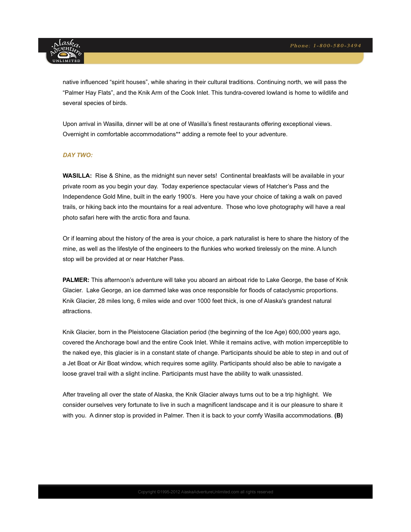

native influenced "spirit houses", while sharing in their cultural traditions. Continuing north, we will pass the "Palmer Hay Flats", and the Knik Arm of the Cook Inlet. This tundra-covered lowland is home to wildlife and several species of birds.

Upon arrival in Wasilla, dinner will be at one of Wasilla's finest restaurants offering exceptional views. Overnight in comfortable accommodations\*\* adding a remote feel to your adventure.

# *DAY TWO:*

**WASILLA:** Rise & Shine, as the midnight sun never sets! Continental breakfasts will be available in your private room as you begin your day. Today experience spectacular views of Hatcher's Pass and the Independence Gold Mine, built in the early 1900's. Here you have your choice of taking a walk on paved trails, or hiking back into the mountains for a real adventure. Those who love photography will have a real photo safari here with the arctic flora and fauna.

Or if learning about the history of the area is your choice, a park naturalist is here to share the history of the mine, as well as the lifestyle of the engineers to the flunkies who worked tirelessly on the mine. A lunch stop will be provided at or near Hatcher Pass.

**PALMER:** This afternoon's adventure will take you aboard an airboat ride to Lake George, the base of Knik Glacier. Lake George, an ice dammed lake was once responsible for floods of cataclysmic proportions. Knik Glacier, 28 miles long, 6 miles wide and over 1000 feet thick, is one of Alaska's grandest natural attractions.

Knik Glacier, born in the Pleistocene Glaciation period (the beginning of the Ice Age) 600,000 years ago, covered the Anchorage bowl and the entire Cook Inlet. While it remains active, with motion imperceptible to the naked eye, this glacier is in a constant state of change. Participants should be able to step in and out of a Jet Boat or Air Boat window, which requires some agility. Participants should also be able to navigate a loose gravel trail with a slight incline. Participants must have the ability to walk unassisted.

After traveling all over the state of Alaska, the Knik Glacier always turns out to be a trip highlight. We consider ourselves very fortunate to live in such a magnificent landscape and it is our pleasure to share it with you. A dinner stop is provided in Palmer. Then it is back to your comfy Wasilla accommodations. **(B)**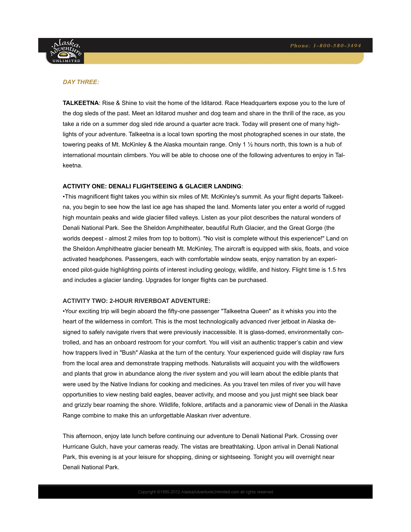

### *DAY THREE:*

**TALKEETNA**: Rise & Shine to visit the home of the Iditarod. Race Headquarters expose you to the lure of the dog sleds of the past. Meet an Iditarod musher and dog team and share in the thrill of the race, as you take a ride on a summer dog sled ride around a quarter acre track. Today will present one of many highlights of your adventure. Talkeetna is a local town sporting the most photographed scenes in our state, the towering peaks of Mt. McKinley & the Alaska mountain range. Only 1 ½ hours north, this town is a hub of international mountain climbers. You will be able to choose one of the following adventures to enjoy in Talkeetna.

#### **ACTIVITY ONE: DENALI FLIGHTSEEING & GLACIER LANDING**:

•This magnificent flight takes you within six miles of Mt. McKinley's summit. As your flight departs Talkeetna, you begin to see how the last ice age has shaped the land. Moments later you enter a world of rugged high mountain peaks and wide glacier filled valleys. Listen as your pilot describes the natural wonders of Denali National Park. See the Sheldon Amphitheater, beautiful Ruth Glacier, and the Great Gorge (the worlds deepest - almost 2 miles from top to bottom). "No visit is complete without this experience!" Land on the Sheldon Amphitheatre glacier beneath Mt. McKinley, The aircraft is equipped with skis, floats, and voice activated headphones. Passengers, each with comfortable window seats, enjoy narration by an experienced pilot-guide highlighting points of interest including geology, wildlife, and history. Flight time is 1.5 hrs and includes a glacier landing. Upgrades for longer flights can be purchased.

# **ACTIVITY TWO: 2-HOUR RIVERBOAT ADVENTURE:**

•Your exciting trip will begin aboard the fifty-one passenger "Talkeetna Queen" as it whisks you into the heart of the wilderness in comfort. This is the most technologically advanced river jetboat in Alaska designed to safely navigate rivers that were previously inaccessible. It is glass-domed, environmentally controlled, and has an onboard restroom for your comfort. You will visit an authentic trapper's cabin and view how trappers lived in "Bush" Alaska at the turn of the century. Your experienced guide will display raw furs from the local area and demonstrate trapping methods. Naturalists will acquaint you with the wildflowers and plants that grow in abundance along the river system and you will learn about the edible plants that were used by the Native Indians for cooking and medicines. As you travel ten miles of river you will have opportunities to view nesting bald eagles, beaver activity, and moose and you just might see black bear and grizzly bear roaming the shore. Wildlife, folklore, artifacts and a panoramic view of Denali in the Alaska Range combine to make this an unforgettable Alaskan river adventure.

This afternoon, enjoy late lunch before continuing our adventure to Denali National Park. Crossing over Hurricane Gulch, have your cameras ready. The vistas are breathtaking. Upon arrival in Denali National Park, this evening is at your leisure for shopping, dining or sightseeing. Tonight you will overnight near Denali National Park.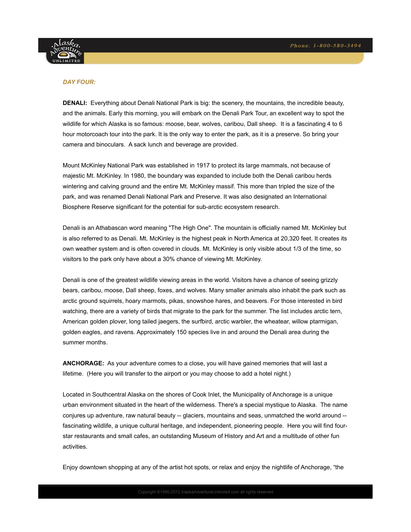

# *DAY FOUR:*

**DENALI:** Everything about Denali National Park is big: the scenery, the mountains, the incredible beauty, and the animals. Early this morning, you will embark on the Denali Park Tour, an excellent way to spot the wildlife for which Alaska is so famous: moose, bear, wolves, caribou, Dall sheep. It is a fascinating 4 to 6 hour motorcoach tour into the park. It is the only way to enter the park, as it is a preserve. So bring your camera and binoculars. A sack lunch and beverage are provided.

Mount McKinley National Park was established in 1917 to protect its large mammals, not because of majestic Mt. McKinley. In 1980, the boundary was expanded to include both the Denali caribou herds wintering and calving ground and the entire Mt. McKinley massif. This more than tripled the size of the park, and was renamed Denali National Park and Preserve. It was also designated an International Biosphere Reserve significant for the potential for sub-arctic ecosystem research.

Denali is an Athabascan word meaning "The High One". The mountain is officially named Mt. McKinley but is also referred to as Denali. Mt. McKinley is the highest peak in North America at 20,320 feet. It creates its own weather system and is often covered in clouds. Mt. McKinley is only visible about 1/3 of the time, so visitors to the park only have about a 30% chance of viewing Mt. McKinley.

Denali is one of the greatest wildlife viewing areas in the world. Visitors have a chance of seeing grizzly bears, caribou, moose, Dall sheep, foxes, and wolves. Many smaller animals also inhabit the park such as arctic ground squirrels, hoary marmots, pikas, snowshoe hares, and beavers. For those interested in bird watching, there are a variety of birds that migrate to the park for the summer. The list includes arctic tern, American golden plover, long tailed jaegers, the surfbird, arctic warbler, the wheatear, willow ptarmigan, golden eagles, and ravens. Approximately 150 species live in and around the Denali area during the summer months.

**ANCHORAGE:** As your adventure comes to a close, you will have gained memories that will last a lifetime. (Here you will transfer to the airport or you may choose to add a hotel night.)

Located in Southcentral Alaska on the shores of Cook Inlet, the Municipality of Anchorage is a unique urban environment situated in the heart of the wilderness. There's a special mystique to Alaska. The name conjures up adventure, raw natural beauty -- glaciers, mountains and seas, unmatched the world around - fascinating wildlife, a unique cultural heritage, and independent, pioneering people. Here you will find fourstar restaurants and small cafes, an outstanding Museum of History and Art and a multitude of other fun activities.

Enjoy downtown shopping at any of the artist hot spots, or relax and enjoy the nightlife of Anchorage, "the